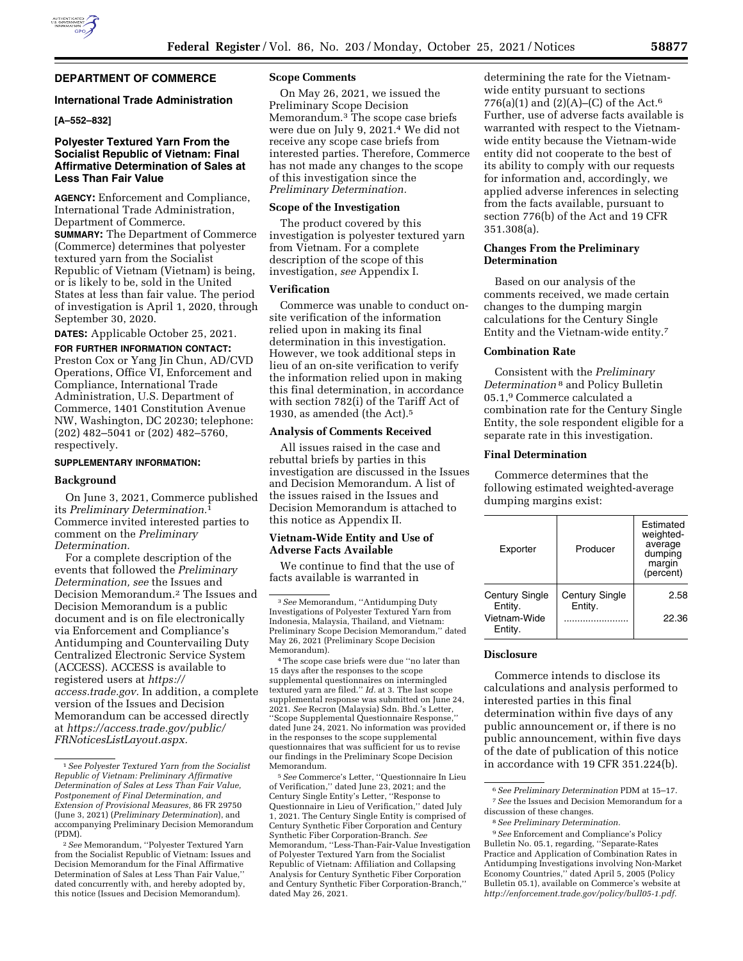

# **DEPARTMENT OF COMMERCE**

### **International Trade Administration**

### **[A–552–832]**

# **Polyester Textured Yarn From the Socialist Republic of Vietnam: Final Affirmative Determination of Sales at Less Than Fair Value**

**AGENCY:** Enforcement and Compliance, International Trade Administration, Department of Commerce. **SUMMARY:** The Department of Commerce (Commerce) determines that polyester textured yarn from the Socialist Republic of Vietnam (Vietnam) is being, or is likely to be, sold in the United States at less than fair value. The period of investigation is April 1, 2020, through September 30, 2020.

**DATES:** Applicable October 25, 2021.

**FOR FURTHER INFORMATION CONTACT:**  Preston Cox or Yang Jin Chun, AD/CVD Operations, Office VI, Enforcement and Compliance, International Trade Administration, U.S. Department of Commerce, 1401 Constitution Avenue NW, Washington, DC 20230; telephone: (202) 482–5041 or (202) 482–5760, respectively.

#### **SUPPLEMENTARY INFORMATION:**

#### **Background**

On June 3, 2021, Commerce published its *Preliminary Determination.*1 Commerce invited interested parties to comment on the *Preliminary Determination.* 

For a complete description of the events that followed the *Preliminary Determination, see* the Issues and Decision Memorandum.2 The Issues and Decision Memorandum is a public document and is on file electronically via Enforcement and Compliance's Antidumping and Countervailing Duty Centralized Electronic Service System (ACCESS). ACCESS is available to registered users at *[https://](https://access.trade.gov) [access.trade.gov.](https://access.trade.gov)* In addition, a complete version of the Issues and Decision Memorandum can be accessed directly at *[https://access.trade.gov/public/](https://access.trade.gov/public/FRNoticesListLayout.aspx)  [FRNoticesListLayout.aspx.](https://access.trade.gov/public/FRNoticesListLayout.aspx)* 

### **Scope Comments**

On May 26, 2021, we issued the Preliminary Scope Decision Memorandum.3 The scope case briefs were due on July 9, 2021.4 We did not receive any scope case briefs from interested parties. Therefore, Commerce has not made any changes to the scope of this investigation since the *Preliminary Determination.* 

### **Scope of the Investigation**

The product covered by this investigation is polyester textured yarn from Vietnam. For a complete description of the scope of this investigation, *see* Appendix I.

### **Verification**

Commerce was unable to conduct onsite verification of the information relied upon in making its final determination in this investigation. However, we took additional steps in lieu of an on-site verification to verify the information relied upon in making this final determination, in accordance with section 782(i) of the Tariff Act of 1930, as amended (the Act).5

## **Analysis of Comments Received**

All issues raised in the case and rebuttal briefs by parties in this investigation are discussed in the Issues and Decision Memorandum. A list of the issues raised in the Issues and Decision Memorandum is attached to this notice as Appendix II.

### **Vietnam-Wide Entity and Use of Adverse Facts Available**

We continue to find that the use of facts available is warranted in

4The scope case briefs were due ''no later than 15 days after the responses to the scope supplemental questionnaires on intermingled textured yarn are filed.'' *Id.* at 3. The last scope supplemental response was submitted on June 24, 2021. *See* Recron (Malaysia) Sdn. Bhd.'s Letter, ''Scope Supplemental Questionnaire Response,'' dated June 24, 2021. No information was provided in the responses to the scope supplemental questionnaires that was sufficient for us to revise our findings in the Preliminary Scope Decision Memorandum.

5*See* Commerce's Letter, ''Questionnaire In Lieu of Verification,'' dated June 23, 2021; and the Century Single Entity's Letter, ''Response to Questionnaire in Lieu of Verification,'' dated July 1, 2021. The Century Single Entity is comprised of Century Synthetic Fiber Corporation and Century Synthetic Fiber Corporation-Branch. *See*  Memorandum, ''Less-Than-Fair-Value Investigation of Polyester Textured Yarn from the Socialist Republic of Vietnam: Affiliation and Collapsing Analysis for Century Synthetic Fiber Corporation and Century Synthetic Fiber Corporation-Branch,'' dated May 26, 2021.

determining the rate for the Vietnamwide entity pursuant to sections 776(a)(1) and (2)(A)–(C) of the Act.<sup>6</sup> Further, use of adverse facts available is warranted with respect to the Vietnamwide entity because the Vietnam-wide entity did not cooperate to the best of its ability to comply with our requests for information and, accordingly, we applied adverse inferences in selecting from the facts available, pursuant to section 776(b) of the Act and 19 CFR 351.308(a).

# **Changes From the Preliminary Determination**

Based on our analysis of the comments received, we made certain changes to the dumping margin calculations for the Century Single Entity and the Vietnam-wide entity.7

#### **Combination Rate**

Consistent with the *Preliminary Determination* 8 and Policy Bulletin 05.1,9 Commerce calculated a combination rate for the Century Single Entity, the sole respondent eligible for a separate rate in this investigation.

#### **Final Determination**

Commerce determines that the following estimated weighted-average dumping margins exist:

| Exporter                  | Producer                         | <b>Fstimated</b><br>weighted-<br>average<br>dumping<br>margin<br>(percent) |
|---------------------------|----------------------------------|----------------------------------------------------------------------------|
| Century Single<br>Entity. | <b>Century Single</b><br>Entity. | 2.58                                                                       |
| Vietnam-Wide<br>Entity.   |                                  | 22.36                                                                      |

### **Disclosure**

Commerce intends to disclose its calculations and analysis performed to interested parties in this final determination within five days of any public announcement or, if there is no public announcement, within five days of the date of publication of this notice in accordance with 19 CFR 351.224(b).

<sup>1</sup>*See Polyester Textured Yarn from the Socialist Republic of Vietnam: Preliminary Affirmative Determination of Sales at Less Than Fair Value, Postponement of Final Determination, and Extension of Provisional Measures,* 86 FR 29750 (June 3, 2021) (*Preliminary Determination*), and accompanying Preliminary Decision Memorandum (PDM).

<sup>2</sup>*See* Memorandum, ''Polyester Textured Yarn from the Socialist Republic of Vietnam: Issues and Decision Memorandum for the Final Affirmative Determination of Sales at Less Than Fair Value,'' dated concurrently with, and hereby adopted by, this notice (Issues and Decision Memorandum).

<sup>3</sup>*See* Memorandum, ''Antidumping Duty Investigations of Polyester Textured Yarn from Indonesia, Malaysia, Thailand, and Vietnam: Preliminary Scope Decision Memorandum,'' dated May 26, 2021 (Preliminary Scope Decision Memorandum).

<sup>6</sup>*See Preliminary Determination* PDM at 15–17. 7*See* the Issues and Decision Memorandum for a discussion of these changes.

<sup>8</sup>*See Preliminary Determination.* 

<sup>9</sup>*See* Enforcement and Compliance's Policy

Bulletin No. 05.1, regarding, ''Separate-Rates Practice and Application of Combination Rates in Antidumping Investigations involving Non-Market Economy Countries,'' dated April 5, 2005 (Policy Bulletin 05.1), available on Commerce's website at *[http://enforcement.trade.gov/policy/bull05-1.pdf.](http://enforcement.trade.gov/policy/bull05-1.pdf)*